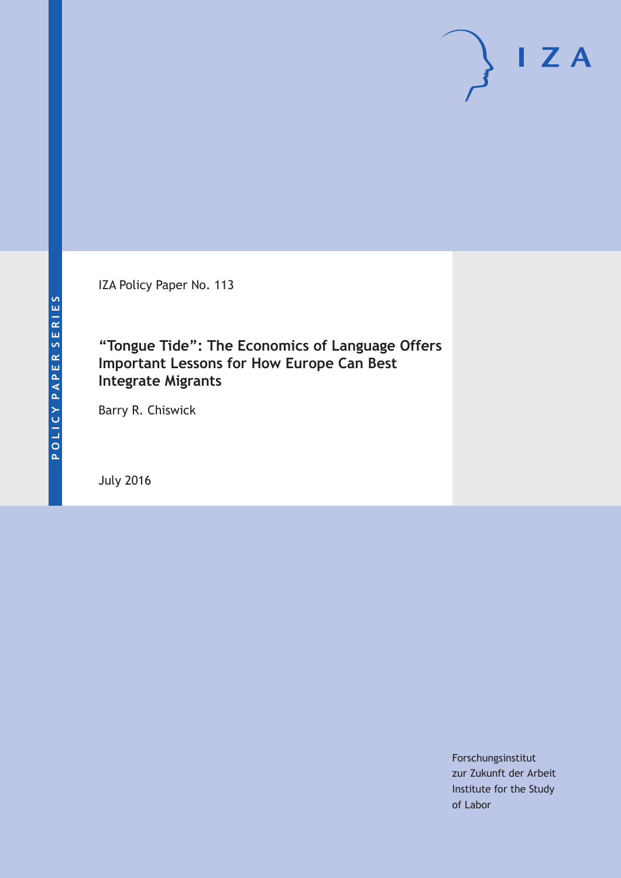IZA Policy Paper No. 113

## **"Tongue Tide": The Economics of Language Offers Important Lessons for How Europe Can Best Integrate Migrants**

Barry R. Chiswick

July 2016

Forschungsinstitut zur Zukunft der Arbeit Institute for the Study of Labor

 $\mathsf{I}$  Z A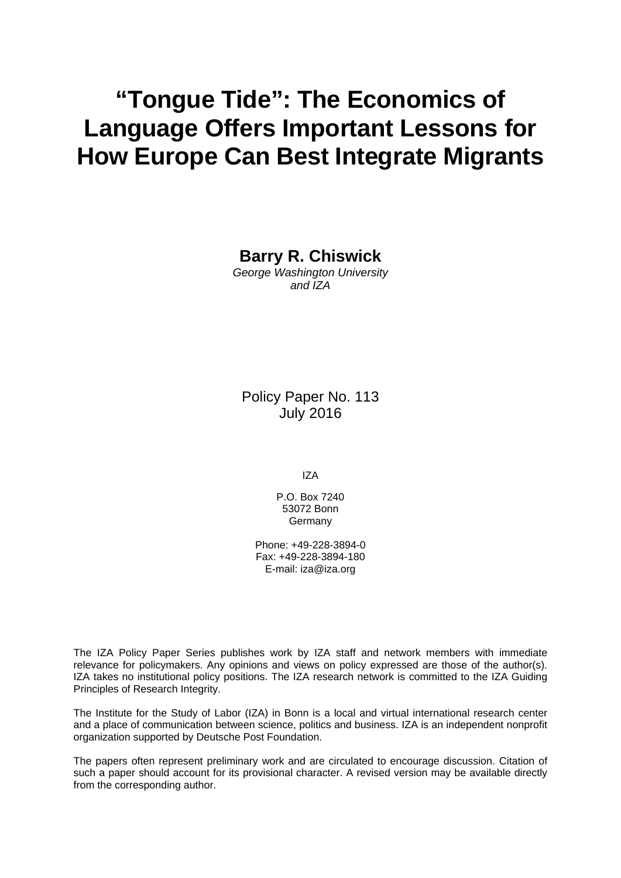# **"Tongue Tide": The Economics of Language Offers Important Lessons for How Europe Can Best Integrate Migrants**

**Barry R. Chiswick** 

*George Washington University and IZA* 

Policy Paper No. 113 July 2016

IZA

P.O. Box 7240 53072 Bonn Germany

Phone: +49-228-3894-0 Fax: +49-228-3894-180 E-mail: iza@iza.org

The IZA Policy Paper Series publishes work by IZA staff and network members with immediate relevance for policymakers. Any opinions and views on policy expressed are those of the author(s). IZA takes no institutional policy positions. The IZA research network is committed to the IZA Guiding Principles of Research Integrity.

The Institute for the Study of Labor (IZA) in Bonn is a local and virtual international research center and a place of communication between science, politics and business. IZA is an independent nonprofit organization supported by Deutsche Post Foundation.

The papers often represent preliminary work and are circulated to encourage discussion. Citation of such a paper should account for its provisional character. A revised version may be available directly from the corresponding author.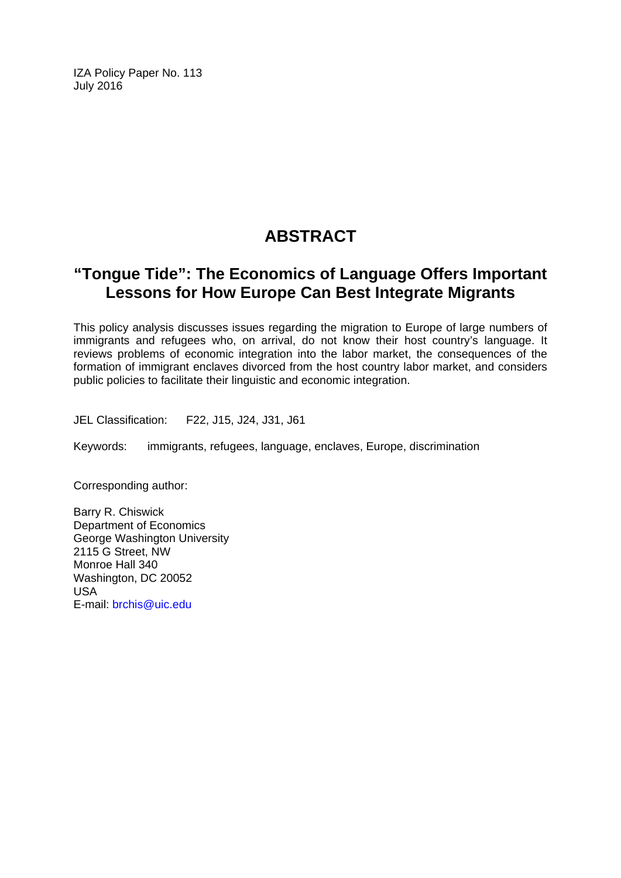IZA Policy Paper No. 113 July 2016

## **ABSTRACT**

## **"Tongue Tide": The Economics of Language Offers Important Lessons for How Europe Can Best Integrate Migrants**

This policy analysis discusses issues regarding the migration to Europe of large numbers of immigrants and refugees who, on arrival, do not know their host country's language. It reviews problems of economic integration into the labor market, the consequences of the formation of immigrant enclaves divorced from the host country labor market, and considers public policies to facilitate their linguistic and economic integration.

JEL Classification: F22, J15, J24, J31, J61

Keywords: immigrants, refugees, language, enclaves, Europe, discrimination

Corresponding author:

Barry R. Chiswick Department of Economics George Washington University 2115 G Street, NW Monroe Hall 340 Washington, DC 20052 USA E-mail: brchis@uic.edu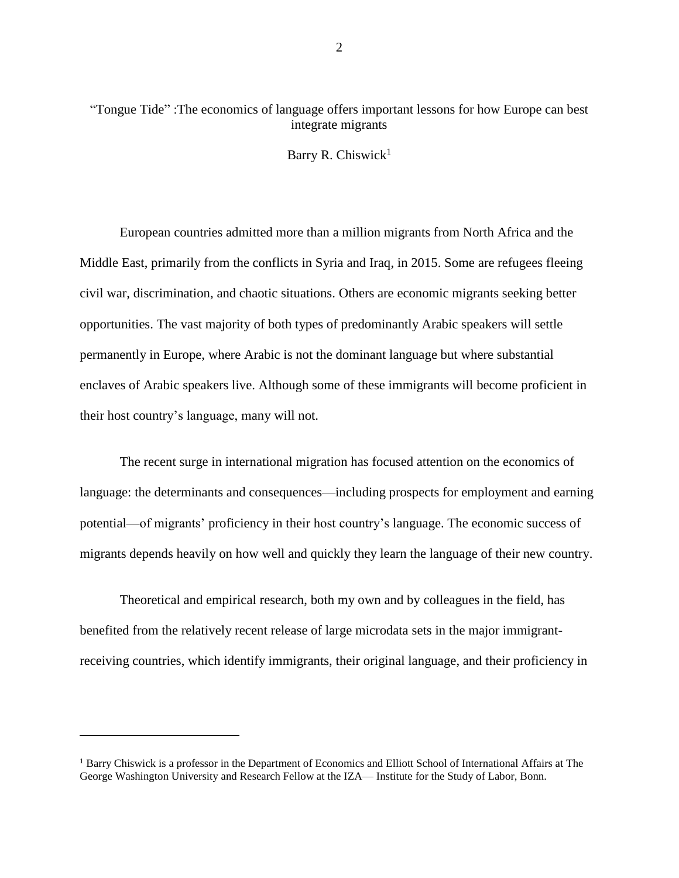### "Tongue Tide" :The economics of language offers important lessons for how Europe can best integrate migrants

Barry R. Chiswick<sup>1</sup>

European countries admitted more than a million migrants from North Africa and the Middle East, primarily from the conflicts in Syria and Iraq, in 2015. Some are refugees fleeing civil war, discrimination, and chaotic situations. Others are economic migrants seeking better opportunities. The vast majority of both types of predominantly Arabic speakers will settle permanently in Europe, where Arabic is not the dominant language but where substantial enclaves of Arabic speakers live. Although some of these immigrants will become proficient in their host country's language, many will not.

The recent surge in international migration has focused attention on the economics of language: the determinants and consequences—including prospects for employment and earning potential—of migrants' proficiency in their host country's language. The economic success of migrants depends heavily on how well and quickly they learn the language of their new country.

Theoretical and empirical research, both my own and by colleagues in the field, has benefited from the relatively recent release of large microdata sets in the major immigrantreceiving countries, which identify immigrants, their original language, and their proficiency in

 $\overline{a}$ 

<sup>&</sup>lt;sup>1</sup> Barry Chiswick is a professor in the Department of Economics and Elliott School of International Affairs at The George Washington University and Research Fellow at the IZA— Institute for the Study of Labor, Bonn.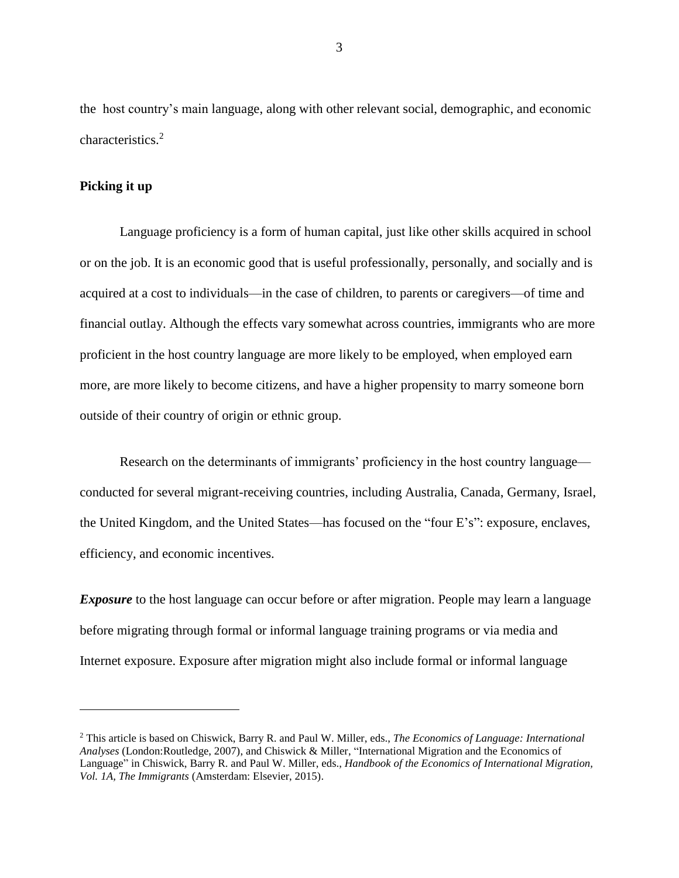the host country's main language, along with other relevant social, demographic, and economic characteristics. 2

#### **Picking it up**

 $\overline{a}$ 

Language proficiency is a form of human capital, just like other skills acquired in school or on the job. It is an economic good that is useful professionally, personally, and socially and is acquired at a cost to individuals—in the case of children, to parents or caregivers—of time and financial outlay. Although the effects vary somewhat across countries, immigrants who are more proficient in the host country language are more likely to be employed, when employed earn more, are more likely to become citizens, and have a higher propensity to marry someone born outside of their country of origin or ethnic group.

Research on the determinants of immigrants' proficiency in the host country language conducted for several migrant-receiving countries, including Australia, Canada, Germany, Israel, the United Kingdom, and the United States—has focused on the "four E's": exposure, enclaves, efficiency, and economic incentives.

*Exposure* to the host language can occur before or after migration. People may learn a language before migrating through formal or informal language training programs or via media and Internet exposure. Exposure after migration might also include formal or informal language

<sup>2</sup> This article is based on Chiswick, Barry R. and Paul W. Miller, eds., *The Economics of Language: International Analyses* (London:Routledge, 2007), and Chiswick & Miller, "International Migration and the Economics of Language" in Chiswick, Barry R. and Paul W. Miller, eds., *Handbook of the Economics of International Migration, Vol. 1A, The Immigrants* (Amsterdam: Elsevier, 2015).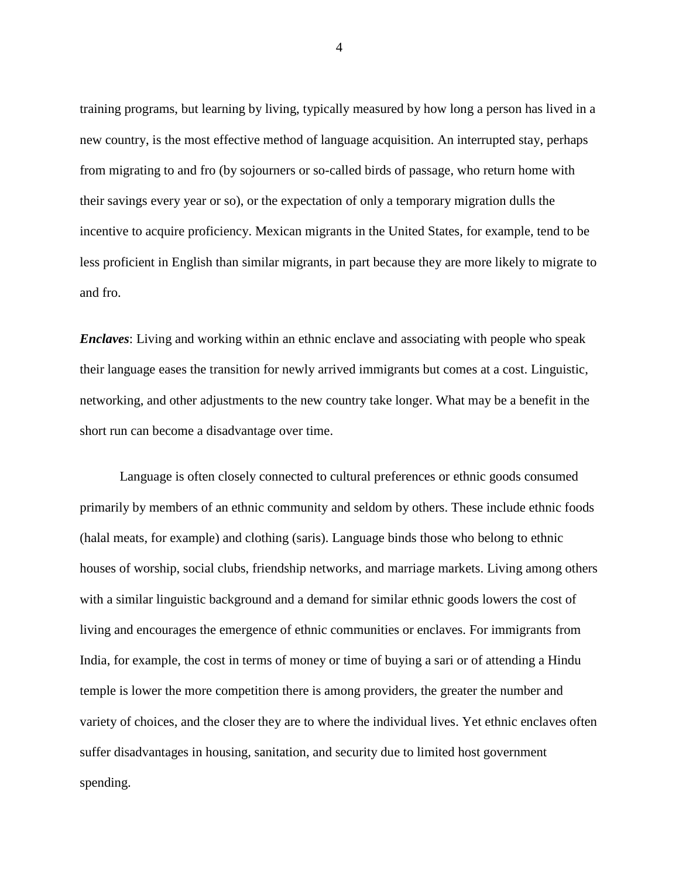training programs, but learning by living, typically measured by how long a person has lived in a new country, is the most effective method of language acquisition. An interrupted stay, perhaps from migrating to and fro (by sojourners or so-called birds of passage, who return home with their savings every year or so), or the expectation of only a temporary migration dulls the incentive to acquire proficiency. Mexican migrants in the United States, for example, tend to be less proficient in English than similar migrants, in part because they are more likely to migrate to and fro.

*Enclaves*: Living and working within an ethnic enclave and associating with people who speak their language eases the transition for newly arrived immigrants but comes at a cost. Linguistic, networking, and other adjustments to the new country take longer. What may be a benefit in the short run can become a disadvantage over time.

Language is often closely connected to cultural preferences or ethnic goods consumed primarily by members of an ethnic community and seldom by others. These include ethnic foods (halal meats, for example) and clothing (saris). Language binds those who belong to ethnic houses of worship, social clubs, friendship networks, and marriage markets. Living among others with a similar linguistic background and a demand for similar ethnic goods lowers the cost of living and encourages the emergence of ethnic communities or enclaves. For immigrants from India, for example, the cost in terms of money or time of buying a sari or of attending a Hindu temple is lower the more competition there is among providers, the greater the number and variety of choices, and the closer they are to where the individual lives. Yet ethnic enclaves often suffer disadvantages in housing, sanitation, and security due to limited host government spending.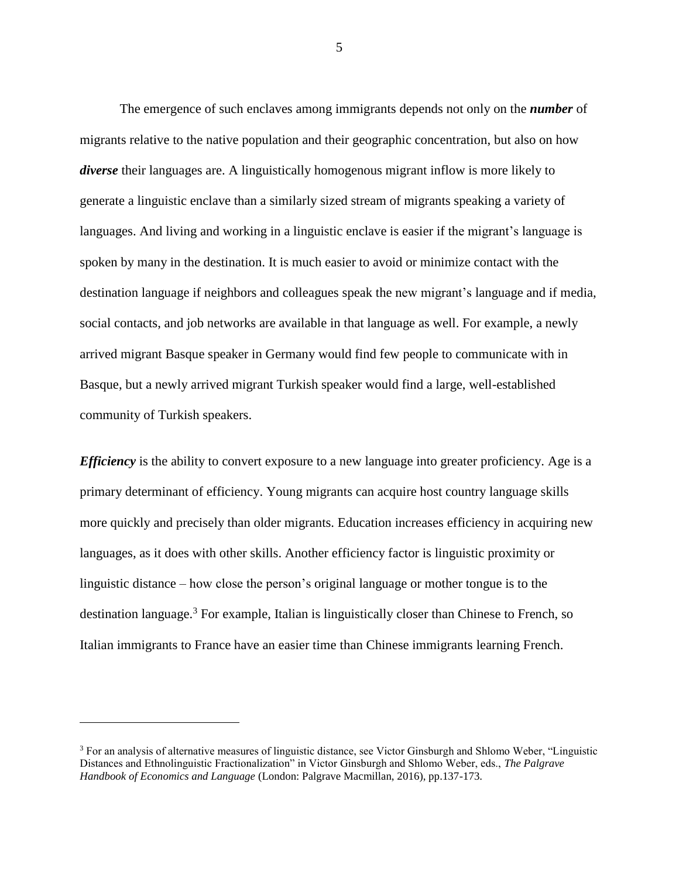The emergence of such enclaves among immigrants depends not only on the *number* of migrants relative to the native population and their geographic concentration, but also on how *diverse* their languages are. A linguistically homogenous migrant inflow is more likely to generate a linguistic enclave than a similarly sized stream of migrants speaking a variety of languages. And living and working in a linguistic enclave is easier if the migrant's language is spoken by many in the destination. It is much easier to avoid or minimize contact with the destination language if neighbors and colleagues speak the new migrant's language and if media, social contacts, and job networks are available in that language as well. For example, a newly arrived migrant Basque speaker in Germany would find few people to communicate with in Basque, but a newly arrived migrant Turkish speaker would find a large, well-established community of Turkish speakers.

*Efficiency* is the ability to convert exposure to a new language into greater proficiency. Age is a primary determinant of efficiency. Young migrants can acquire host country language skills more quickly and precisely than older migrants. Education increases efficiency in acquiring new languages, as it does with other skills. Another efficiency factor is linguistic proximity or linguistic distance – how close the person's original language or mother tongue is to the destination language.<sup>3</sup> For example, Italian is linguistically closer than Chinese to French, so Italian immigrants to France have an easier time than Chinese immigrants learning French.

 $\overline{a}$ 

<sup>&</sup>lt;sup>3</sup> For an analysis of alternative measures of linguistic distance, see Victor Ginsburgh and Shlomo Weber, "Linguistic Distances and Ethnolinguistic Fractionalization" in Victor Ginsburgh and Shlomo Weber, eds., *The Palgrave Handbook of Economics and Language* (London: Palgrave Macmillan, 2016), pp.137-173.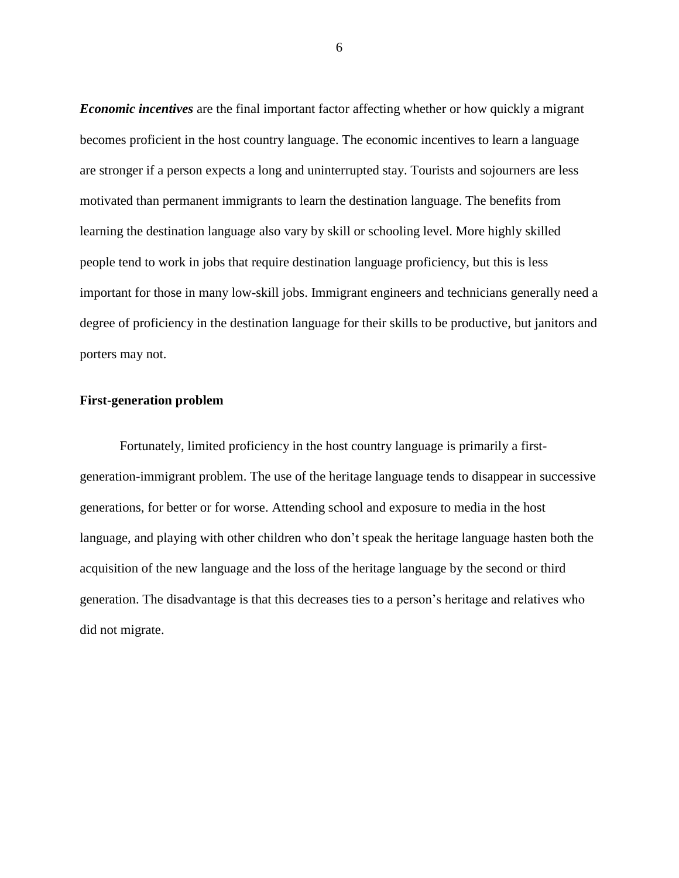*Economic incentives* are the final important factor affecting whether or how quickly a migrant becomes proficient in the host country language. The economic incentives to learn a language are stronger if a person expects a long and uninterrupted stay. Tourists and sojourners are less motivated than permanent immigrants to learn the destination language. The benefits from learning the destination language also vary by skill or schooling level. More highly skilled people tend to work in jobs that require destination language proficiency, but this is less important for those in many low-skill jobs. Immigrant engineers and technicians generally need a degree of proficiency in the destination language for their skills to be productive, but janitors and porters may not.

#### **First-generation problem**

Fortunately, limited proficiency in the host country language is primarily a firstgeneration-immigrant problem. The use of the heritage language tends to disappear in successive generations, for better or for worse. Attending school and exposure to media in the host language, and playing with other children who don't speak the heritage language hasten both the acquisition of the new language and the loss of the heritage language by the second or third generation. The disadvantage is that this decreases ties to a person's heritage and relatives who did not migrate.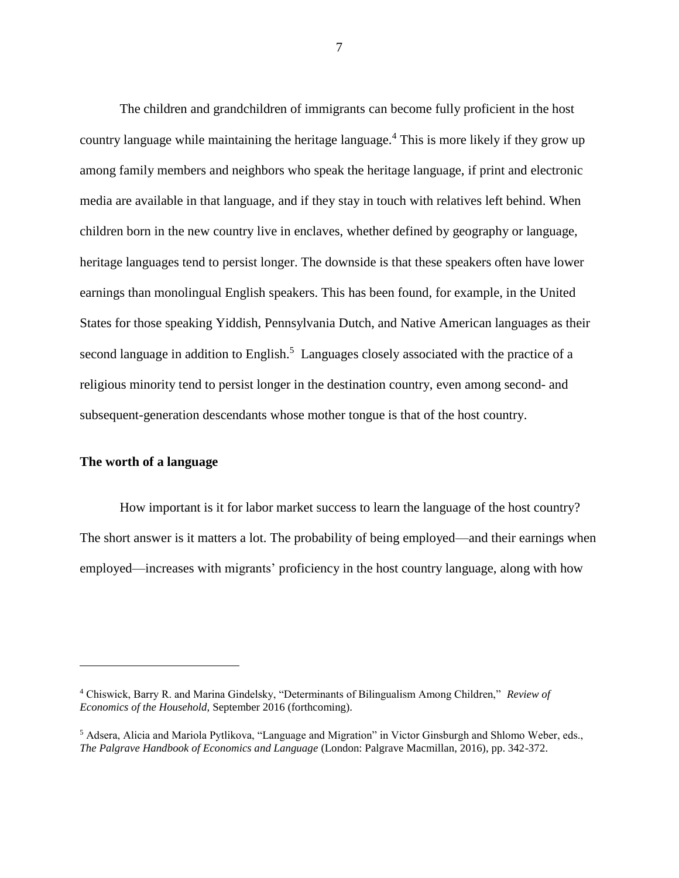The children and grandchildren of immigrants can become fully proficient in the host country language while maintaining the heritage language.<sup>4</sup> This is more likely if they grow up among family members and neighbors who speak the heritage language, if print and electronic media are available in that language, and if they stay in touch with relatives left behind. When children born in the new country live in enclaves, whether defined by geography or language, heritage languages tend to persist longer. The downside is that these speakers often have lower earnings than monolingual English speakers. This has been found, for example, in the United States for those speaking Yiddish, Pennsylvania Dutch, and Native American languages as their second language in addition to English.<sup>5</sup> Languages closely associated with the practice of a religious minority tend to persist longer in the destination country, even among second- and subsequent-generation descendants whose mother tongue is that of the host country.

#### **The worth of a language**

 $\overline{a}$ 

How important is it for labor market success to learn the language of the host country? The short answer is it matters a lot. The probability of being employed—and their earnings when employed—increases with migrants' proficiency in the host country language, along with how

<sup>4</sup> Chiswick, Barry R. and Marina Gindelsky, "Determinants of Bilingualism Among Children," *Review of Economics of the Household,* September 2016 (forthcoming).

<sup>5</sup> Adsera, Alicia and Mariola Pytlikova, "Language and Migration" in Victor Ginsburgh and Shlomo Weber, eds., *The Palgrave Handbook of Economics and Language* (London: Palgrave Macmillan, 2016), pp. 342-372.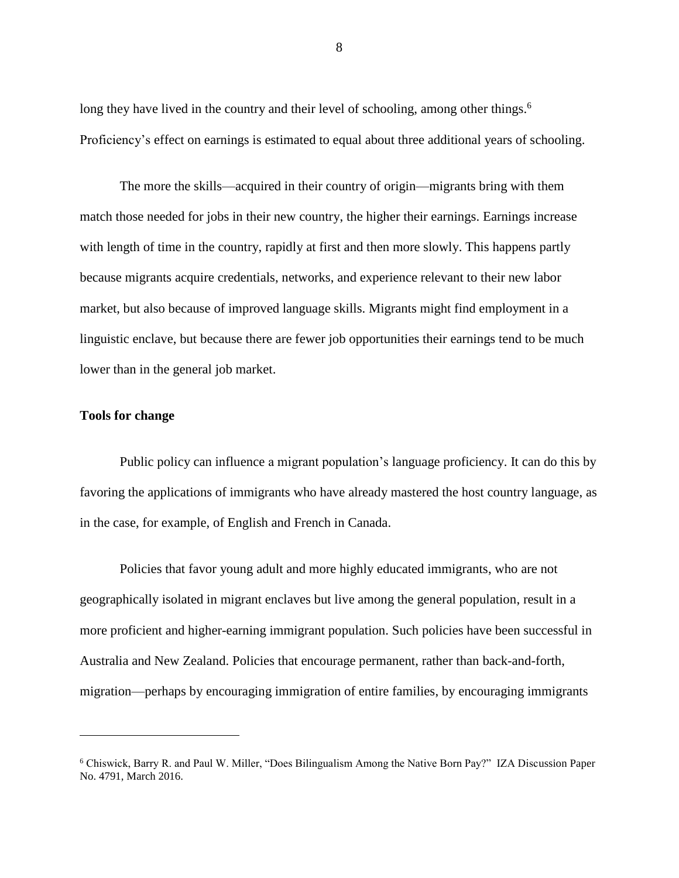long they have lived in the country and their level of schooling, among other things.<sup>6</sup> Proficiency's effect on earnings is estimated to equal about three additional years of schooling.

The more the skills—acquired in their country of origin—migrants bring with them match those needed for jobs in their new country, the higher their earnings. Earnings increase with length of time in the country, rapidly at first and then more slowly. This happens partly because migrants acquire credentials, networks, and experience relevant to their new labor market, but also because of improved language skills. Migrants might find employment in a linguistic enclave, but because there are fewer job opportunities their earnings tend to be much lower than in the general job market.

#### **Tools for change**

 $\overline{a}$ 

Public policy can influence a migrant population's language proficiency. It can do this by favoring the applications of immigrants who have already mastered the host country language, as in the case, for example, of English and French in Canada.

Policies that favor young adult and more highly educated immigrants, who are not geographically isolated in migrant enclaves but live among the general population, result in a more proficient and higher-earning immigrant population. Such policies have been successful in Australia and New Zealand. Policies that encourage permanent, rather than back-and-forth, migration—perhaps by encouraging immigration of entire families, by encouraging immigrants

<sup>6</sup> Chiswick, Barry R. and Paul W. Miller, "Does Bilingualism Among the Native Born Pay?" IZA Discussion Paper No. 4791, March 2016.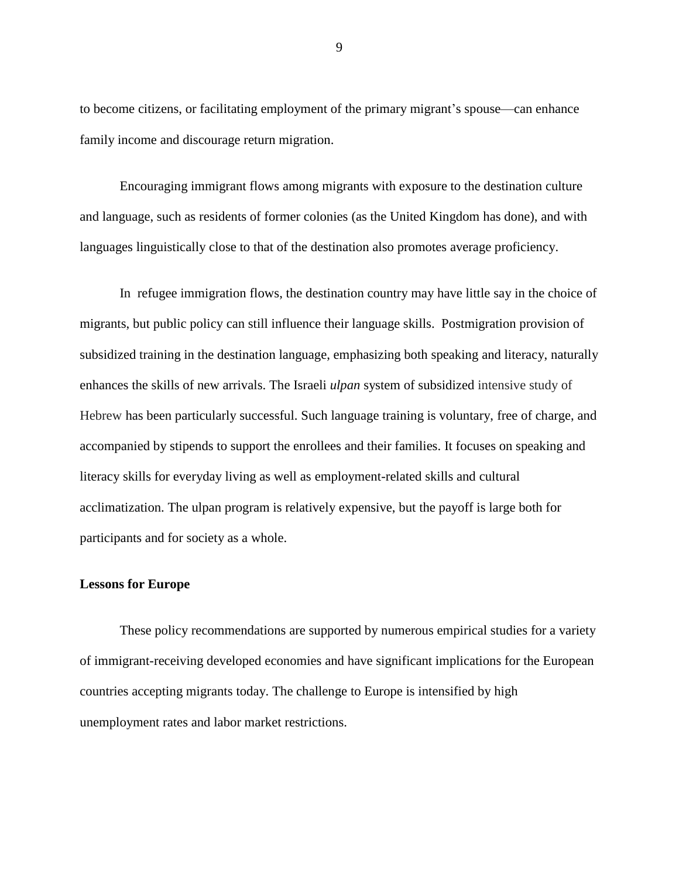to become citizens, or facilitating employment of the primary migrant's spouse—can enhance family income and discourage return migration.

Encouraging immigrant flows among migrants with exposure to the destination culture and language, such as residents of former colonies (as the United Kingdom has done), and with languages linguistically close to that of the destination also promotes average proficiency.

In refugee immigration flows, the destination country may have little say in the choice of migrants, but public policy can still influence their language skills. Postmigration provision of subsidized training in the destination language, emphasizing both speaking and literacy, naturally enhances the skills of new arrivals. The Israeli *ulpan* system of subsidized intensive study of Hebrew has been particularly successful. Such language training is voluntary, free of charge, and accompanied by stipends to support the enrollees and their families. It focuses on speaking and literacy skills for everyday living as well as employment-related skills and cultural acclimatization. The ulpan program is relatively expensive, but the payoff is large both for participants and for society as a whole.

#### **Lessons for Europe**

These policy recommendations are supported by numerous empirical studies for a variety of immigrant-receiving developed economies and have significant implications for the European countries accepting migrants today. The challenge to Europe is intensified by high unemployment rates and labor market restrictions.